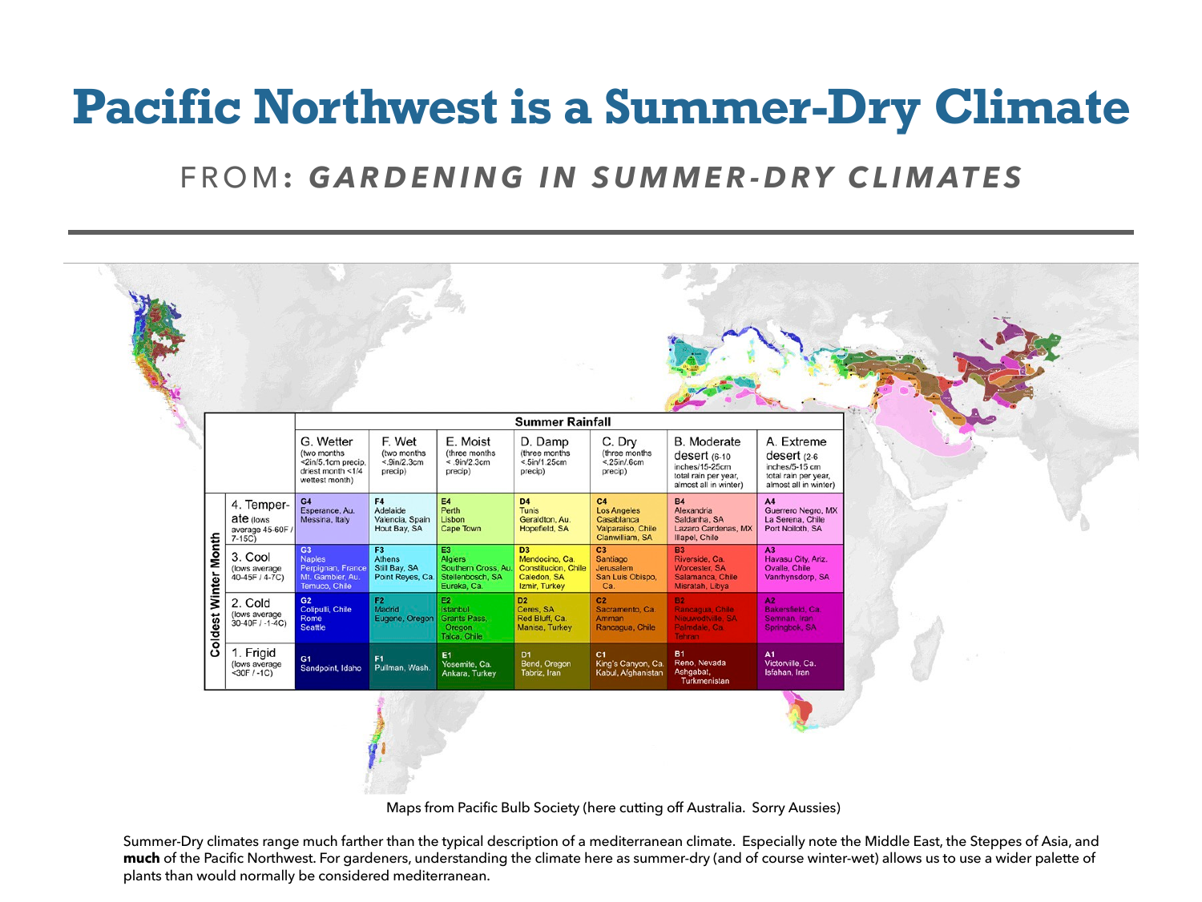## **Pacific Northwest is a Summer-Dry Climate**

## FROM**:** *GARDENING IN SUMMER-DRY CLIMATES*

|  |                             |                                                         | <b>Summer Rainfall</b>                                                                |                                                           |                                                                                                 |                                                                                         |                                                                                |                                                                                                       |                                                                                                 |  |
|--|-----------------------------|---------------------------------------------------------|---------------------------------------------------------------------------------------|-----------------------------------------------------------|-------------------------------------------------------------------------------------------------|-----------------------------------------------------------------------------------------|--------------------------------------------------------------------------------|-------------------------------------------------------------------------------------------------------|-------------------------------------------------------------------------------------------------|--|
|  |                             |                                                         | G. Wetter<br>(two months<br><2in/5.1cm precip,<br>driest month <1/4<br>wettest month) | F. Wet<br>(two months)<br>$< 9$ in/2.3cm<br>precip)       | E. Moist<br>(three months<br>$\leq .9$ in/2.3cm<br>precip)                                      | D. Damp<br>(three months)<br>$< 5$ in/1.25cm<br>precip)                                 | C. Dry<br>(three months<br>$< 25$ in/.6cm<br>precip)                           | <b>B.</b> Moderate<br>desert (6-10<br>inches/15-25cm<br>total rain per year,<br>almost all in winter) | A. Extreme<br>desert $(2-6)$<br>inches/5-15 cm<br>total rain per year,<br>almost all in winter) |  |
|  | <b>Coldest Winter Month</b> | 4. Temper-<br>ate (lows<br>average 45-60F /<br>$7-15C)$ | G4<br>Esperance, Au.<br>Messina, Italy                                                | F4<br>Adelaide<br>Valencia, Spain<br>Hout Bay, SA         | E4<br>Perth<br>Lisbon<br>Cape Town                                                              | D <sub>4</sub><br>Tunis<br>Geraldton, Au.<br>Hopefield, SA                              | C4<br><b>Los Angeles</b><br>Casablanca<br>Valparaiso, Chile<br>Clanwilliam, SA | <b>B4</b><br>Alexandria<br>Saldanha, SA<br>Lazaro Cardenas, MX<br>Illapel, Chile                      | A4<br>Guerrero Negro, MX<br>La Serena, Chile<br>Port Noiloth, SA                                |  |
|  |                             | 3. Cool<br>(lows average<br>40-45F / 4-7C)              | G3<br><b>Naples</b><br>Perpignan, France<br>Mt. Gambier, Au.<br>Temuco, Chile         | F <sub>3</sub><br>Athens<br>Still Bay, SA                 | E3<br><b>Algiers</b><br>Southern Cross, Au.<br>Point Reyes, Ca. Stellenbosch, SA<br>Eureka, Ca. | D <sub>3</sub><br>Mendocino, Ca.<br>Constitucion, Chile<br>Caledon, SA<br>Izmir, Turkey | C3<br>Santiago<br>Jerusalem<br>San Luis Obispo.<br>Ca.                         | <b>B3</b><br>Riverside, Ca.<br>Worcester, SA<br>Salamanca, Chile<br>Misratah, Libya                   | A3<br>Havasu City, Ariz.<br>Ovalle, Chile<br>Vanrhynsdorp, SA                                   |  |
|  |                             | 2. Cold<br>(lows average<br>$30-40F / -1-4C$            | G2<br>Colipulli, Chile<br>Rome<br><b>Seattle</b>                                      | F <sub>2</sub><br>Madrid<br>Eugene, Oregon   Grants Pass, | E2<br>Istanbul<br>Oregon<br>Talca, Chile                                                        | D <sub>2</sub><br>Ceres, SA<br>Red Bluff, Ca.<br>Manisa, Turkey                         | C <sub>2</sub><br>Sacramento, Ca.<br>Amman<br>Rancagua, Chile                  | <b>B2</b><br>Rancagua, Chile<br>Nieuwodtville, SA<br>Palmdale, Ca.<br>Tehran                          | A2<br>Bakersfield, Ca.<br>Semnan, Iran<br>Springbok, SA                                         |  |
|  |                             | 1. Frigid<br>(lows average<br><30F / -1C)               | G1<br>Sandpoint, Idaho                                                                | F1<br>Pullman, Wash.                                      | E1<br>Yosemite, Ca.<br>Ankara, Turkey                                                           | D <sub>1</sub><br>Bend, Oregon<br>Tabriz, Iran                                          | C1<br>King's Canyon, Ca.<br>Kabul, Afghanistan                                 | <b>B1</b><br>Reno, Nevada<br>Ashgabat,<br>Turkmenistan                                                | A1<br>Victorville, Ca.<br>Isfahan, Iran                                                         |  |
|  |                             |                                                         |                                                                                       |                                                           |                                                                                                 |                                                                                         |                                                                                |                                                                                                       |                                                                                                 |  |

Maps from Pacific Bulb Society (here cutting off Australia. Sorry Aussies)

Summer-Dry climates range much farther than the typical description of a mediterranean climate. Especially note the Middle East, the Steppes of Asia, and **much** of the Pacific Northwest. For gardeners, understanding the climate here as summer-dry (and of course winter-wet) allows us to use a wider palette of plants than would normally be considered mediterranean.